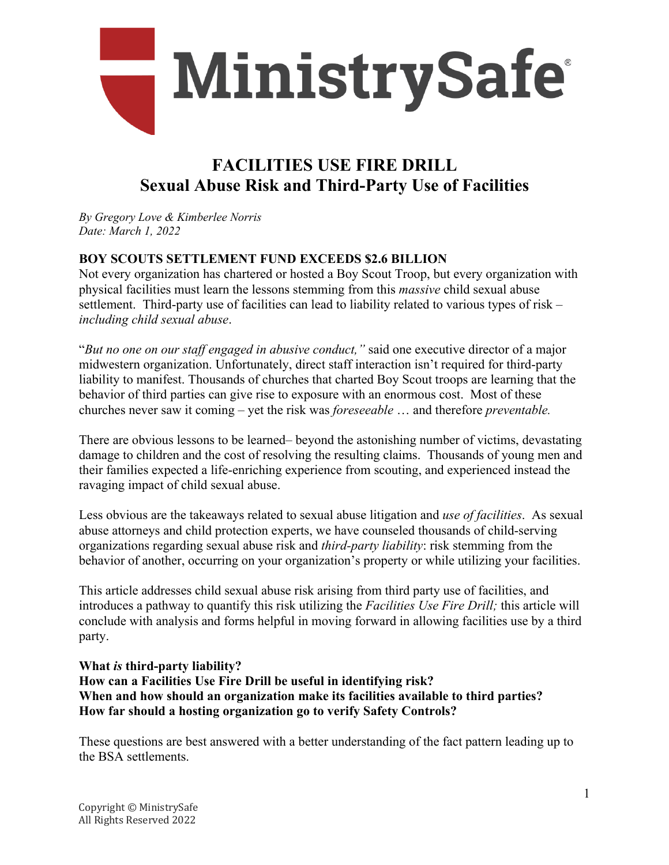

# **FACILITIES USE FIRE DRILL Sexual Abuse Risk and Third-Party Use of Facilities**

*By Gregory Love & Kimberlee Norris Date: March 1, 2022*

## **BOY SCOUTS SETTLEMENT FUND EXCEEDS \$2.6 BILLION**

Not every organization has chartered or hosted a Boy Scout Troop, but every organization with physical facilities must learn the lessons stemming from this *massive* child sexual abuse settlement. Third-party use of facilities can lead to liability related to various types of risk – *including child sexual abuse*.

"*But no one on our staff engaged in abusive conduct,"* said one executive director of a major midwestern organization. Unfortunately, direct staff interaction isn't required for third-party liability to manifest. Thousands of churches that charted Boy Scout troops are learning that the behavior of third parties can give rise to exposure with an enormous cost. Most of these churches never saw it coming – yet the risk was *foreseeable* … and therefore *preventable.* 

There are obvious lessons to be learned– beyond the astonishing number of victims, devastating damage to children and the cost of resolving the resulting claims. Thousands of young men and their families expected a life-enriching experience from scouting, and experienced instead the ravaging impact of child sexual abuse.

Less obvious are the takeaways related to sexual abuse litigation and *use of facilities*. As sexual abuse attorneys and child protection experts, we have counseled thousands of child-serving organizations regarding sexual abuse risk and *third-party liability*: risk stemming from the behavior of another, occurring on your organization's property or while utilizing your facilities.

This article addresses child sexual abuse risk arising from third party use of facilities, and introduces a pathway to quantify this risk utilizing the *Facilities Use Fire Drill;* this article will conclude with analysis and forms helpful in moving forward in allowing facilities use by a third party.

## **What** *is* **third-party liability? How can a Facilities Use Fire Drill be useful in identifying risk? When and how should an organization make its facilities available to third parties? How far should a hosting organization go to verify Safety Controls?**

These questions are best answered with a better understanding of the fact pattern leading up to the BSA settlements.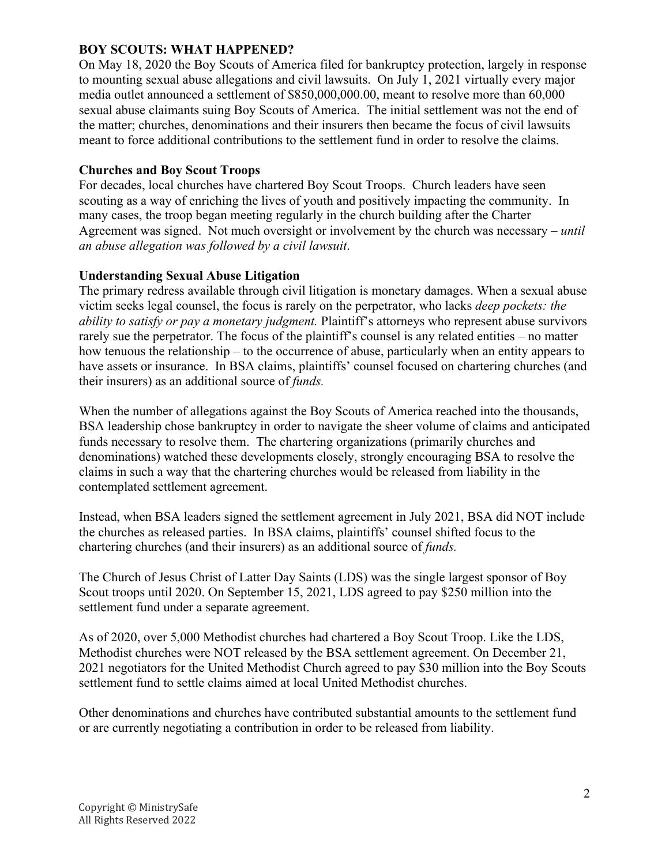## **BOY SCOUTS: WHAT HAPPENED?**

On May 18, 2020 the Boy Scouts of America filed for bankruptcy protection, largely in response to mounting sexual abuse allegations and civil lawsuits. On July 1, 2021 virtually every major media outlet announced a settlement of \$850,000,000.00, meant to resolve more than 60,000 sexual abuse claimants suing Boy Scouts of America. The initial settlement was not the end of the matter; churches, denominations and their insurers then became the focus of civil lawsuits meant to force additional contributions to the settlement fund in order to resolve the claims.

#### **Churches and Boy Scout Troops**

For decades, local churches have chartered Boy Scout Troops. Church leaders have seen scouting as a way of enriching the lives of youth and positively impacting the community. In many cases, the troop began meeting regularly in the church building after the Charter Agreement was signed. Not much oversight or involvement by the church was necessary – *until an abuse allegation was followed by a civil lawsuit*.

#### **Understanding Sexual Abuse Litigation**

The primary redress available through civil litigation is monetary damages. When a sexual abuse victim seeks legal counsel, the focus is rarely on the perpetrator, who lacks *deep pockets: the ability to satisfy or pay a monetary judgment.* Plaintiff's attorneys who represent abuse survivors rarely sue the perpetrator. The focus of the plaintiff's counsel is any related entities – no matter how tenuous the relationship – to the occurrence of abuse, particularly when an entity appears to have assets or insurance. In BSA claims, plaintiffs' counsel focused on chartering churches (and their insurers) as an additional source of *funds.* 

When the number of allegations against the Boy Scouts of America reached into the thousands, BSA leadership chose bankruptcy in order to navigate the sheer volume of claims and anticipated funds necessary to resolve them. The chartering organizations (primarily churches and denominations) watched these developments closely, strongly encouraging BSA to resolve the claims in such a way that the chartering churches would be released from liability in the contemplated settlement agreement.

Instead, when BSA leaders signed the settlement agreement in July 2021, BSA did NOT include the churches as released parties. In BSA claims, plaintiffs' counsel shifted focus to the chartering churches (and their insurers) as an additional source of *funds.* 

The Church of Jesus Christ of Latter Day Saints (LDS) was the single largest sponsor of Boy Scout troops until 2020. On September 15, 2021, LDS agreed to pay \$250 million into the settlement fund under a separate agreement.

As of 2020, over 5,000 Methodist churches had chartered a Boy Scout Troop. Like the LDS, Methodist churches were NOT released by the BSA settlement agreement. On December 21, 2021 negotiators for the United Methodist Church agreed to pay \$30 million into the Boy Scouts settlement fund to settle claims aimed at local United Methodist churches.

Other denominations and churches have contributed substantial amounts to the settlement fund or are currently negotiating a contribution in order to be released from liability.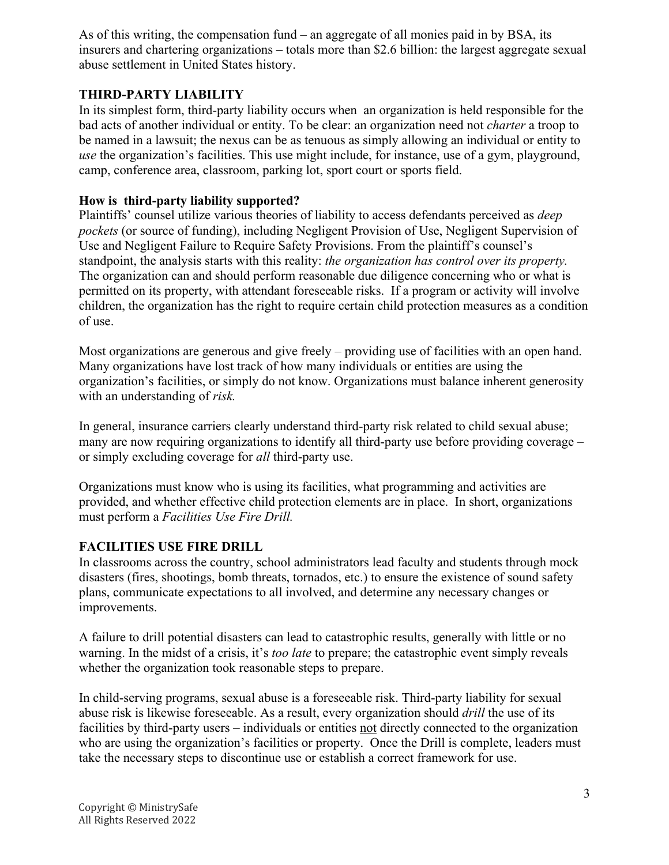As of this writing, the compensation fund – an aggregate of all monies paid in by BSA, its insurers and chartering organizations – totals more than \$2.6 billion: the largest aggregate sexual abuse settlement in United States history.

## **THIRD-PARTY LIABILITY**

In its simplest form, third-party liability occurs when an organization is held responsible for the bad acts of another individual or entity. To be clear: an organization need not *charter* a troop to be named in a lawsuit; the nexus can be as tenuous as simply allowing an individual or entity to *use* the organization's facilities. This use might include, for instance, use of a gym, playground, camp, conference area, classroom, parking lot, sport court or sports field.

## **How is third-party liability supported?**

Plaintiffs' counsel utilize various theories of liability to access defendants perceived as *deep pockets* (or source of funding), including Negligent Provision of Use, Negligent Supervision of Use and Negligent Failure to Require Safety Provisions. From the plaintiff's counsel's standpoint, the analysis starts with this reality: *the organization has control over its property.* The organization can and should perform reasonable due diligence concerning who or what is permitted on its property, with attendant foreseeable risks. If a program or activity will involve children, the organization has the right to require certain child protection measures as a condition of use.

Most organizations are generous and give freely – providing use of facilities with an open hand. Many organizations have lost track of how many individuals or entities are using the organization's facilities, or simply do not know. Organizations must balance inherent generosity with an understanding of *risk.* 

In general, insurance carriers clearly understand third-party risk related to child sexual abuse; many are now requiring organizations to identify all third-party use before providing coverage – or simply excluding coverage for *all* third-party use.

Organizations must know who is using its facilities, what programming and activities are provided, and whether effective child protection elements are in place. In short, organizations must perform a *Facilities Use Fire Drill.*

## **FACILITIES USE FIRE DRILL**

In classrooms across the country, school administrators lead faculty and students through mock disasters (fires, shootings, bomb threats, tornados, etc.) to ensure the existence of sound safety plans, communicate expectations to all involved, and determine any necessary changes or improvements.

A failure to drill potential disasters can lead to catastrophic results, generally with little or no warning. In the midst of a crisis, it's *too late* to prepare; the catastrophic event simply reveals whether the organization took reasonable steps to prepare.

In child-serving programs, sexual abuse is a foreseeable risk. Third-party liability for sexual abuse risk is likewise foreseeable. As a result, every organization should *drill* the use of its facilities by third-party users – individuals or entities not directly connected to the organization who are using the organization's facilities or property. Once the Drill is complete, leaders must take the necessary steps to discontinue use or establish a correct framework for use.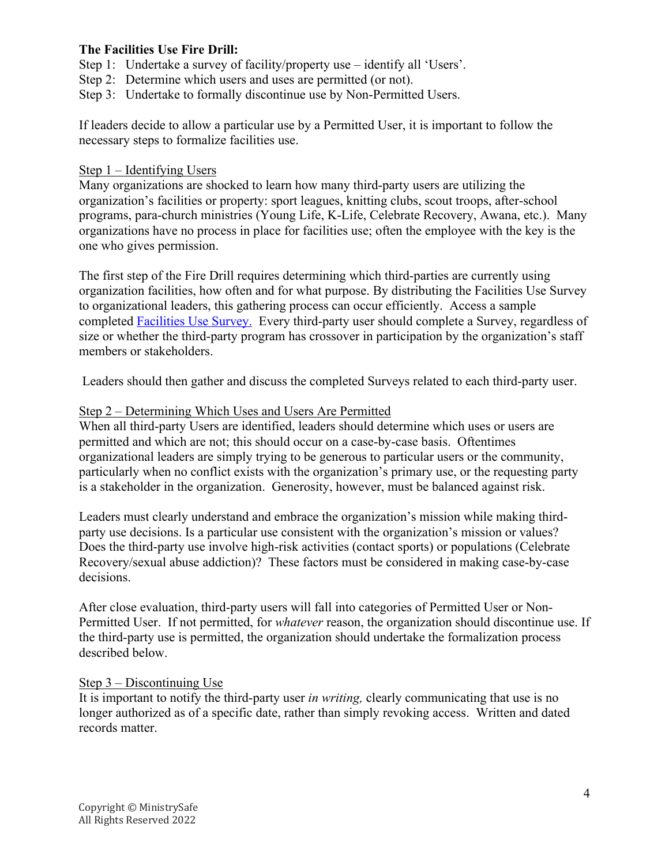## **The Facilities Use Fire Drill:**

Step 1: Undertake a survey of facility/property use – identify all 'Users'.

Step 2: Determine which users and uses are permitted (or not).

Step 3: Undertake to formally discontinue use by Non-Permitted Users.

If leaders decide to allow a particular use by a Permitted User, it is important to follow the necessary steps to formalize facilities use.

#### Step 1 – Identifying Users

Many organizations are shocked to learn how many third-party users are utilizing the organization's facilities or property: sport leagues, knitting clubs, scout troops, after-school programs, para-church ministries (Young Life, K-Life, Celebrate Recovery, Awana, etc.). Many organizations have no process in place for facilities use; often the employee with the key is the one who gives permission.

The first step of the Fire Drill requires determining which third-parties are currently using organization facilities, how often and for what purpose. By distributing the Facilities Use Survey to organizational leaders, this gathering process can occur efficiently. Access a sample completed Facilities Use Survey. Every third-party user should complete a Survey, regardless of size or whether the third-party program has crossover in participation by the organization's staff members or stakeholders.

Leaders should then gather and discuss the completed Surveys related to each third-party user.

#### Step 2 – Determining Which Uses and Users Are Permitted

When all third-party Users are identified, leaders should determine which uses or users are permitted and which are not; this should occur on a case-by-case basis. Oftentimes organizational leaders are simply trying to be generous to particular users or the community, particularly when no conflict exists with the organization's primary use, or the requesting party is a stakeholder in the organization. Generosity, however, must be balanced against risk.

Leaders must clearly understand and embrace the organization's mission while making thirdparty use decisions. Is a particular use consistent with the organization's mission or values? Does the third-party use involve high-risk activities (contact sports) or populations (Celebrate Recovery/sexual abuse addiction)? These factors must be considered in making case-by-case decisions.

After close evaluation, third-party users will fall into categories of Permitted User or Non-Permitted User. If not permitted, for *whatever* reason, the organization should discontinue use. If the third-party use is permitted, the organization should undertake the formalization process described below.

## Step 3 – Discontinuing Use

It is important to notify the third-party user *in writing,* clearly communicating that use is no longer authorized as of a specific date, rather than simply revoking access. Written and dated records matter.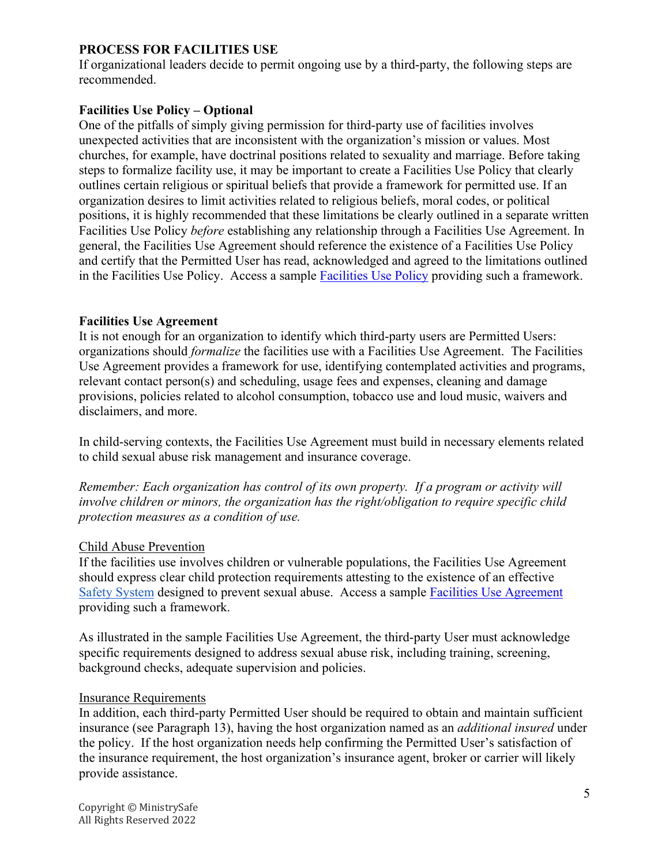## **PROCESS FOR FACILITIES USE**

If organizational leaders decide to permit ongoing use by a third-party, the following steps are recommended.

## **Facilities Use Policy – Optional**

One of the pitfalls of simply giving permission for third-party use of facilities involves unexpected activities that are inconsistent with the organization's mission or values. Most churches, for example, have doctrinal positions related to sexuality and marriage. Before taking steps to formalize facility use, it may be important to create a Facilities Use Policy that clearly outlines certain religious or spiritual beliefs that provide a framework for permitted use. If an organization desires to limit activities related to religious beliefs, moral codes, or political positions, it is highly recommended that these limitations be clearly outlined in a separate written Facilities Use Policy *before* establishing any relationship through a Facilities Use Agreement. In general, the Facilities Use Agreement should reference the existence of a Facilities Use Policy and certify that the Permitted User has read, acknowledged and agreed to the limitations outlined in the Facilities Use Policy. Access a sample **Facilities Use Policy** providing such a framework.

#### **Facilities Use Agreement**

It is not enough for an organization to identify which third-party users are Permitted Users: organizations should *formalize* the facilities use with a Facilities Use Agreement. The Facilities Use Agreement provides a framework for use, identifying contemplated activities and programs, relevant contact person(s) and scheduling, usage fees and expenses, cleaning and damage provisions, policies related to alcohol consumption, tobacco use and loud music, waivers and disclaimers, and more.

In child-serving contexts, the Facilities Use Agreement must build in necessary elements related to child sexual abuse risk management and insurance coverage.

*Remember: Each organization has control of its own property. If a program or activity will involve children or minors, the organization has the right/obligation to require specific child protection measures as a condition of use.*

## Child Abuse Prevention

If the facilities use involves children or vulnerable populations, the Facilities Use Agreement should express clear child protection requirements attesting to the existence of an effective Safety System designed to prevent sexual abuse. Access a sample Facilities Use Agreement providing such a framework.

As illustrated in the sample Facilities Use Agreement, the third-party User must acknowledge specific requirements designed to address sexual abuse risk, including training, screening, background checks, adequate supervision and policies.

#### Insurance Requirements

In addition, each third-party Permitted User should be required to obtain and maintain sufficient insurance (see Paragraph 13), having the host organization named as an *additional insured* under the policy. If the host organization needs help confirming the Permitted User's satisfaction of the insurance requirement, the host organization's insurance agent, broker or carrier will likely provide assistance.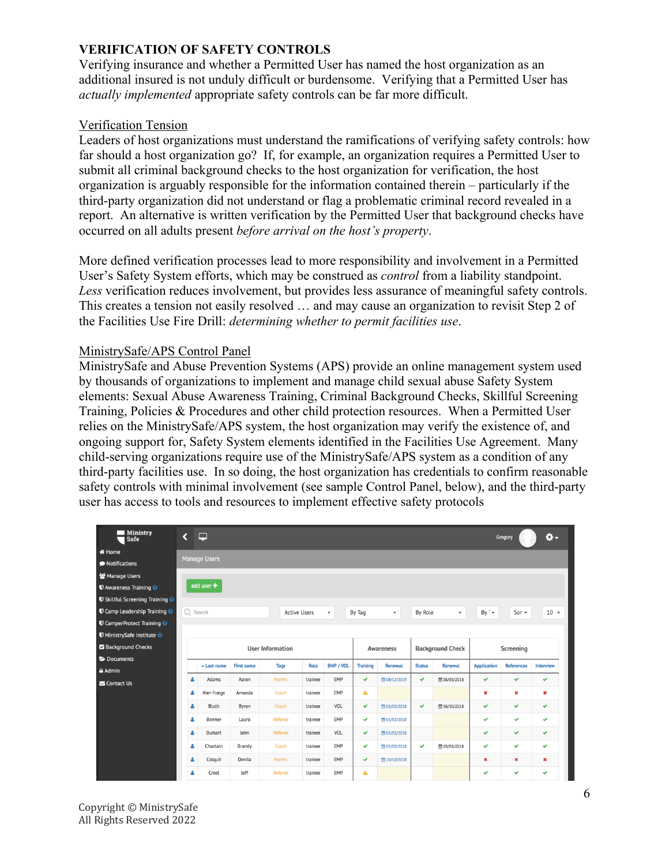## **VERIFICATION OF SAFETY CONTROLS**

Verifying insurance and whether a Permitted User has named the host organization as an additional insured is not unduly difficult or burdensome. Verifying that a Permitted User has *actually implemented* appropriate safety controls can be far more difficult.

## Verification Tension

Leaders of host organizations must understand the ramifications of verifying safety controls: how far should a host organization go? If, for example, an organization requires a Permitted User to submit all criminal background checks to the host organization for verification, the host organization is arguably responsible for the information contained therein – particularly if the third-party organization did not understand or flag a problematic criminal record revealed in a report. An alternative is written verification by the Permitted User that background checks have occurred on all adults present *before arrival on the host's property*.

More defined verification processes lead to more responsibility and involvement in a Permitted User's Safety System efforts, which may be construed as *control* from a liability standpoint. *Less* verification reduces involvement, but provides less assurance of meaningful safety controls. This creates a tension not easily resolved … and may cause an organization to revisit Step 2 of the Facilities Use Fire Drill: *determining whether to permit facilities use*.

#### MinistrySafe/APS Control Panel

MinistrySafe and Abuse Prevention Systems (APS) provide an online management system used by thousands of organizations to implement and manage child sexual abuse Safety System elements: Sexual Abuse Awareness Training, Criminal Background Checks, Skillful Screening Training, Policies & Procedures and other child protection resources. When a Permitted User relies on the MinistrySafe/APS system, the host organization may verify the existence of, and ongoing support for, Safety System elements identified in the Facilities Use Agreement. Many child-serving organizations require use of the MinistrySafe/APS system as a condition of any third-party facilities use. In so doing, the host organization has credentials to confirm reasonable safety controls with minimal involvement (see sample Control Panel, below), and the third-party user has access to tools and resources to implement effective safety protocols

| <b>Ministry</b><br>Safe                      | ∢                       | □                     |                   |                |                                            |                  |                 |                                    |               |                                       |                    | Gregory           | ۰\$            |  |
|----------------------------------------------|-------------------------|-----------------------|-------------------|----------------|--------------------------------------------|------------------|-----------------|------------------------------------|---------------|---------------------------------------|--------------------|-------------------|----------------|--|
| i Home                                       |                         |                       |                   |                |                                            |                  |                 |                                    |               |                                       |                    |                   |                |  |
| • Notifications                              | <b>Manage Users</b>     |                       |                   |                |                                            |                  |                 |                                    |               |                                       |                    |                   |                |  |
| 월 Manage Users                               |                         |                       |                   |                |                                            |                  |                 |                                    |               |                                       |                    |                   |                |  |
| <b>U</b> Awareness Training @                | add user $\pm$          |                       |                   |                |                                            |                  |                 |                                    |               |                                       |                    |                   |                |  |
| <b>U</b> Skillful Screening Training @       |                         |                       |                   |                |                                            |                  |                 |                                    |               |                                       |                    |                   |                |  |
| <b>U</b> Camp Leadership Training @          | Q Search                |                       |                   |                | <b>Active Users</b><br>$\scriptstyle\star$ |                  |                 | By Tag<br>$\overline{\phantom{a}}$ |               | <b>By Role</b><br>$\scriptstyle\star$ |                    | $Sor -$           | $10 -$         |  |
| <b>U</b> CamperProtect Training <sup>O</sup> |                         |                       |                   |                |                                            |                  |                 |                                    |               |                                       |                    |                   |                |  |
| <b>U</b> MinistrySafe Institute <sup>@</sup> |                         |                       |                   |                |                                            |                  |                 |                                    |               |                                       |                    |                   |                |  |
| Background Checks                            | <b>User Information</b> |                       |                   |                |                                            | <b>Awareness</b> |                 | <b>Background Check</b>            |               | Screening                             |                    |                   |                |  |
|                                              |                         |                       |                   |                |                                            |                  |                 |                                    |               |                                       |                    |                   |                |  |
| Documents                                    |                         |                       |                   |                |                                            |                  |                 |                                    |               |                                       |                    |                   |                |  |
| <b>≙</b> Admin                               |                         | $\triangle$ Last name | <b>First name</b> | <b>Tags</b>    | <b>Role</b>                                | EMP / VOL        | <b>Training</b> | <b>Renewal</b>                     | <b>Status</b> | <b>Renewal</b>                        | <b>Application</b> | <b>References</b> | Interview      |  |
| Contact Us                                   |                         | Adams                 | Aaron             | Parent         | trainee                                    | EMP              | $\checkmark$    | ■ 08/12/2019                       | v             | □ 06/03/2018                          | $\checkmark$       | v                 | $\checkmark$   |  |
|                                              | ۵                       | Ater-Foege            | Amanda            | Coach          | trainee                                    | <b>EMP</b>       | А               |                                    |               |                                       | $\pmb{\times}$     | ×                 | $\pmb{\times}$ |  |
|                                              | ۵                       | Bluth                 | Byron             | Coach          | trainee                                    | VOL              | $\checkmark$    | ■ 03/03/2018                       | $\checkmark$  | □ 06/30/2018                          | $\checkmark$       | v                 | $\checkmark$   |  |
|                                              | ۵                       | Bonner                | Laura             | <b>Referee</b> | trainee                                    | <b>EMP</b>       | $\checkmark$    | ■ 03/03/2018                       |               |                                       | ✓                  | ✓                 | $\checkmark$   |  |
|                                              | Δ                       | Burkart               | John              | Referee        | trainee                                    | VOL              | $\checkmark$    | □ 03/03/2018                       |               |                                       | $\checkmark$       | v                 | $\checkmark$   |  |
|                                              | Δ                       | Chastain              | <b>Brandy</b>     | Coach          | trainee                                    | <b>EMP</b>       | $\checkmark$    | ■ 03/03/2018                       | v             | ■ 03/03/2018                          | ✓                  | $\checkmark$      | $\checkmark$   |  |
|                                              | ۵                       | Colquit               | Denita            | Parent         | trainee                                    | <b>EMP</b>       | $\checkmark$    | m 10/10/2018                       |               |                                       | $\pmb{\times}$     | ×                 | $\pmb{\times}$ |  |